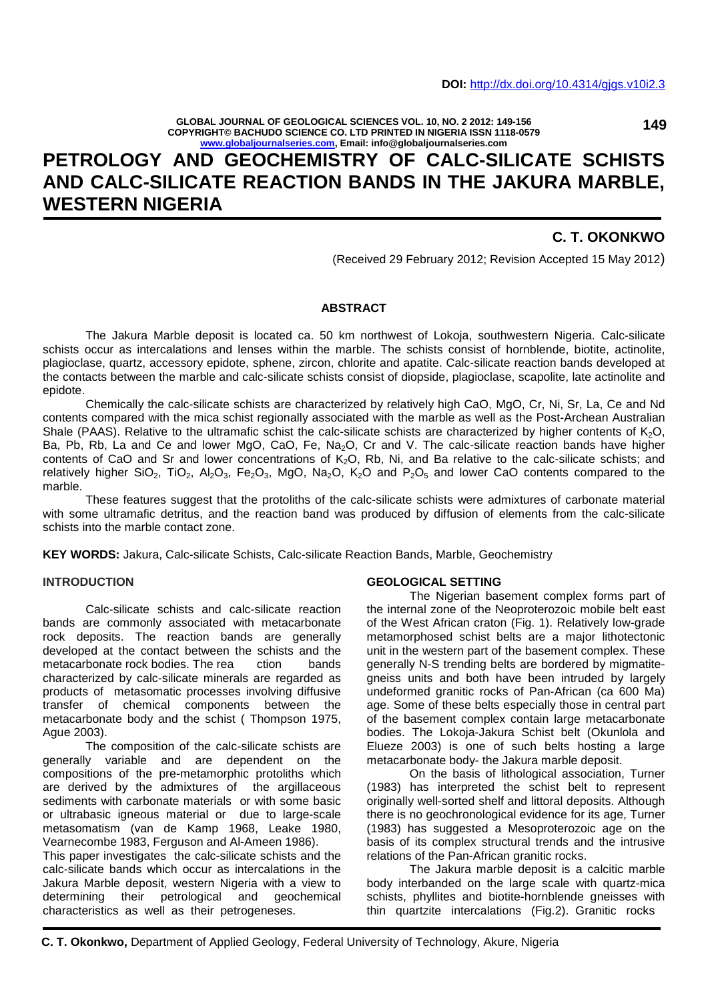**GLOBAL JOURNAL OF GEOLOGICAL SCIENCES VOL. 10, NO. 2 2012: 149-156 COPYRIGHT© BACHUDO SCIENCE CO. LTD PRINTED IN NIGERIA ISSN 1118-0579 www.globaljournalseries.com, Email: info@globaljournalseries.com**

## **149**

# **PETROLOGY AND GEOCHEMISTRY OF CALC-SILICATE SCHISTS AND CALC-SILICATE REACTION BANDS IN THE JAKURA MARBLE, WESTERN NIGERIA**

## **C. T. OKONKWO**

(Received 29 February 2012; Revision Accepted 15 May 2012)

## **ABSTRACT**

The Jakura Marble deposit is located ca. 50 km northwest of Lokoja, southwestern Nigeria. Calc-silicate schists occur as intercalations and lenses within the marble. The schists consist of hornblende, biotite, actinolite, plagioclase, quartz, accessory epidote, sphene, zircon, chlorite and apatite. Calc-silicate reaction bands developed at the contacts between the marble and calc-silicate schists consist of diopside, plagioclase, scapolite, late actinolite and epidote.

Chemically the calc-silicate schists are characterized by relatively high CaO, MgO, Cr, Ni, Sr, La, Ce and Nd contents compared with the mica schist regionally associated with the marble as well as the Post-Archean Australian Shale (PAAS). Relative to the ultramafic schist the calc-silicate schists are characterized by higher contents of  $K_2O$ , Ba, Pb, Rb, La and Ce and lower MgO, CaO, Fe, Na<sub>2</sub>O, Cr and V. The calc-silicate reaction bands have higher contents of CaO and Sr and lower concentrations of  $K_2O$ , Rb, Ni, and Ba relative to the calc-silicate schists; and relatively higher SiO<sub>2</sub>, TiO<sub>2</sub>, Al<sub>2</sub>O<sub>3</sub>, Fe<sub>2</sub>O<sub>3</sub>, MgO, Na<sub>2</sub>O, K<sub>2</sub>O and P<sub>2</sub>O<sub>5</sub> and lower CaO contents compared to the marble.

These features suggest that the protoliths of the calc-silicate schists were admixtures of carbonate material with some ultramafic detritus, and the reaction band was produced by diffusion of elements from the calc-silicate schists into the marble contact zone.

**KEY WORDS:** Jakura, Calc-silicate Schists, Calc-silicate Reaction Bands, Marble, Geochemistry

#### **INTRODUCTION**

Calc-silicate schists and calc-silicate reaction bands are commonly associated with metacarbonate rock deposits. The reaction bands are generally developed at the contact between the schists and the metacarbonate rock bodies. The rea ction bands characterized by calc-silicate minerals are regarded as products of metasomatic processes involving diffusive transfer of chemical components between the metacarbonate body and the schist ( Thompson 1975, Ague 2003).

The composition of the calc-silicate schists are generally variable and are dependent on the compositions of the pre-metamorphic protoliths which are derived by the admixtures of the argillaceous sediments with carbonate materials or with some basic or ultrabasic igneous material or due to large-scale metasomatism (van de Kamp 1968, Leake 1980, Vearnecombe 1983, Ferguson and Al-Ameen 1986).

This paper investigates the calc-silicate schists and the calc-silicate bands which occur as intercalations in the Jakura Marble deposit, western Nigeria with a view to determining their petrological and geochemical characteristics as well as their petrogeneses.

#### **GEOLOGICAL SETTING**

The Nigerian basement complex forms part of the internal zone of the Neoproterozoic mobile belt east of the West African craton (Fig. 1). Relatively low-grade metamorphosed schist belts are a major lithotectonic unit in the western part of the basement complex. These generally N-S trending belts are bordered by migmatite gneiss units and both have been intruded by largely undeformed granitic rocks of Pan-African (ca 600 Ma) age. Some of these belts especially those in central part of the basement complex contain large metacarbonate bodies. The Lokoja-Jakura Schist belt (Okunlola and Elueze 2003) is one of such belts hosting a large metacarbonate body- the Jakura marble deposit.

On the basis of lithological association, Turner (1983) has interpreted the schist belt to represent originally well-sorted shelf and littoral deposits. Although there is no geochronological evidence for its age, Turner (1983) has suggested a Mesoproterozoic age on the basis of its complex structural trends and the intrusive relations of the Pan-African granitic rocks.

The Jakura marble deposit is a calcitic marble body interbanded on the large scale with quartz-mica schists, phyllites and biotite-hornblende gneisses with thin quartzite intercalations (Fig.2). Granitic rocks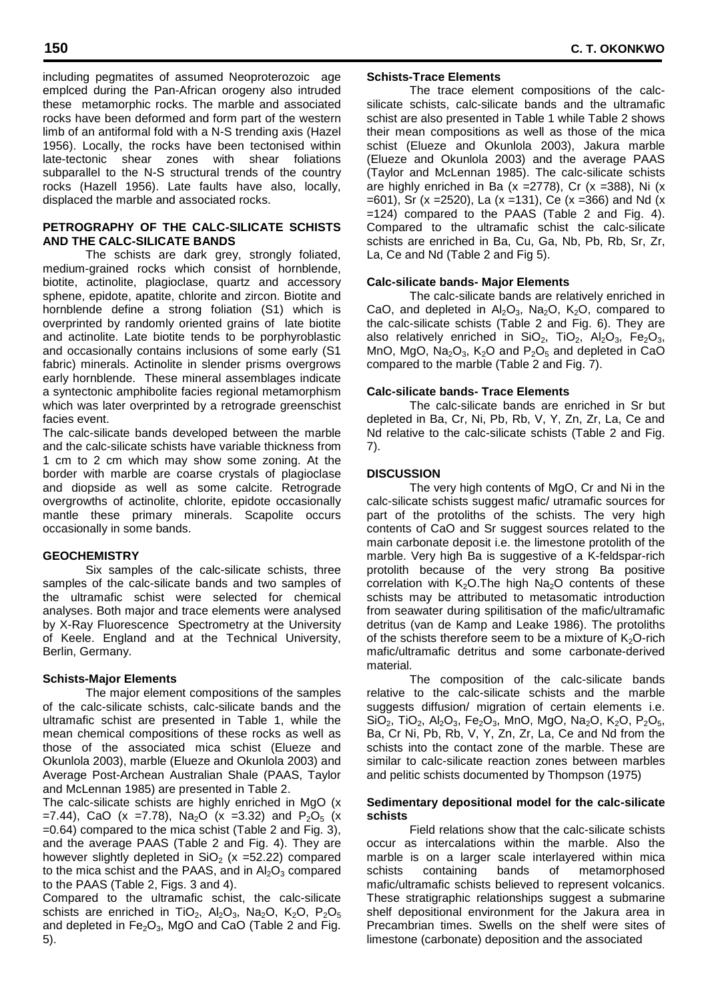including pegmatites of assumed Neoproterozoic age emplced during the Pan-African orogeny also intruded these metamorphic rocks. The marble and associated rocks have been deformed and form part of the western limb of an antiformal fold with a N-S trending axis (Hazel 1956). Locally, the rocks have been tectonised within late-tectonic shear zones with shear foliations subparallel to the N-S structural trends of the country rocks (Hazell 1956). Late faults have also, locally, displaced the marble and associated rocks.

## **PETROGRAPHY OF THE CALC-SILICATE SCHISTS AND THE CALC-SILICATE BANDS**

The schists are dark grey, strongly foliated, medium-grained rocks which consist of hornblende, biotite, actinolite, plagioclase, quartz and accessory sphene, epidote, apatite, chlorite and zircon. Biotite and hornblende define a strong foliation (S1) which is overprinted by randomly oriented grains of late biotite and actinolite. Late biotite tends to be porphyroblastic and occasionally contains inclusions of some early (S1 fabric) minerals. Actinolite in slender prisms overgrows early hornblende. These mineral assemblages indicate a syntectonic amphibolite facies regional metamorphism which was later overprinted by a retrograde greenschist facies event.

The calc-silicate bands developed between the marble and the calc-silicate schists have variable thickness from 1 cm to 2 cm which may show some zoning. At the border with marble are coarse crystals of plagioclase and diopside as well as some calcite. Retrograde overgrowths of actinolite, chlorite, epidote occasionally mantle these primary minerals. Scapolite occurs occasionally in some bands.

### **GEOCHEMISTRY**

Six samples of the calc-silicate schists, three samples of the calc-silicate bands and two samples of the ultramafic schist were selected for chemical analyses. Both major and trace elements were analysed by X-Ray Fluorescence Spectrometry at the University of Keele. England and at the Technical University, Berlin, Germany.

### **Schists-Major Elements**

The major element compositions of the samples of the calc-silicate schists, calc-silicate bands and the ultramafic schist are presented in Table 1, while the mean chemical compositions of these rocks as well as those of the associated mica schist (Elueze and Okunlola 2003), marble (Elueze and Okunlola 2003) and Average Post-Archean Australian Shale (PAAS, Taylor and McLennan 1985) are presented in Table 2.

The calc-silicate schists are highly enriched in MgO (x =7.44), CaO (x =7.78), Na<sub>2</sub>O (x =3.32) and P<sub>2</sub>O<sub>5</sub> (x =0.64) compared to the mica schist (Table 2 and Fig. 3), and the average PAAS (Table 2 and Fig. 4). They are however slightly depleted in  $SiO<sub>2</sub>$  (x =52.22) compared to the mica schist and the PAAS, and in  $Al_2O_3$  compared schists to the PAAS (Table 2, Figs. 3 and 4).

Compared to the ultramafic schist, the calc-silicate schists are enriched in TiO<sub>2</sub>, Al<sub>2</sub>O<sub>3</sub>, Na<sub>2</sub>O, K<sub>2</sub>O, P<sub>2</sub>O<sub>5</sub> and depleted in  $Fe<sub>2</sub>O<sub>3</sub>$ , MgO and CaO (Table 2 and Fig. 5).

### **Schists-Trace Elements**

The trace element compositions of the calc silicate schists, calc-silicate bands and the ultramafic schist are also presented in Table 1 while Table 2 shows their mean compositions as well as those of the mica schist (Elueze and Okunlola 2003), Jakura marble (Elueze and Okunlola 2003) and the average PAAS (Taylor and McLennan 1985). The calc-silicate schists are highly enriched in Ba  $(x = 2778)$ , Cr  $(x = 388)$ , Ni  $(x = 12778)$  $=601$ ), Sr (x  $=2520$ ), La (x  $=131$ ), Ce (x  $=366$ ) and Nd (x =124) compared to the PAAS (Table 2 and Fig. 4). Compared to the ultramafic schist the calc-silicate schists are enriched in Ba, Cu, Ga, Nb, Pb, Rb, Sr, Zr, La, Ce and Nd (Table 2 and Fig 5).

## **Calc-silicate bands- Major Elements**

The calc-silicate bands are relatively enriched in CaO, and depleted in  $Al_2O_3$ , Na<sub>2</sub>O, K<sub>2</sub>O, compared to the calc-silicate schists (Table 2 and Fig. 6). They are also relatively enriched in  $SiO_2$ ,  $TiO_2$ ,  $Al_2O_3$ ,  $Fe_2O_3$ , MnO, MgO, Na<sub>2</sub>O<sub>3</sub>, K<sub>2</sub>O and P<sub>2</sub>O<sub>5</sub> and depleted in CaO compared to the marble (Table 2 and Fig. 7).

### **Calc-silicate bands- Trace Elements**

The calc-silicate bands are enriched in Sr but depleted in Ba, Cr, Ni, Pb, Rb, V, Y, Zn, Zr, La, Ce and Nd relative to the calc-silicate schists (Table 2 and Fig. 7).

## **DISCUSSION**

The very high contents of MgO, Cr and Ni in the calc-silicate schists suggest mafic/ utramafic sources for part of the protoliths of the schists. The very high contents of CaO and Sr suggest sources related to the main carbonate deposit i.e. the limestone protolith of the marble. Very high Ba is suggestive of a K-feldspar-rich protolith because of the very strong Ba positive correlation with  $K_2O$ . The high Na<sub>2</sub>O contents of these schists may be attributed to metasomatic introduction from seawater during spilitisation of the mafic/ultramafic detritus (van de Kamp and Leake 1986). The protoliths of the schists therefore seem to be a mixture of  $K<sub>2</sub>O$ -rich mafic/ultramafic detritus and some carbonate-derived material.

The composition of the calc-silicate bands relative to the calc-silicate schists and the marble suggests diffusion/ migration of certain elements i.e.  $SiO_2$ , TiO<sub>2</sub>, Al<sub>2</sub>O<sub>3</sub>, Fe<sub>2</sub>O<sub>3</sub>, MnO, MgO, Na<sub>2</sub>O, K<sub>2</sub>O, P<sub>2</sub>O<sub>5</sub>, Ba, Cr Ni, Pb, Rb, V, Y, Zn, Zr, La, Ce and Nd from the schists into the contact zone of the marble. These are similar to calc-silicate reaction zones between marbles and pelitic schists documented by Thompson (1975)

### **Sedimentary depositional model for the calc-silicate schists**

Field relations show that the calc-silicate schists occur as intercalations within the marble. Also the marble is on a larger scale interlayered within mica containing bands of metamorphosed mafic/ultramafic schists believed to represent volcanics. These stratigraphic relationships suggest a submarine shelf depositional environment for the Jakura area in Precambrian times. Swells on the shelf were sites of limestone (carbonate) deposition and the associated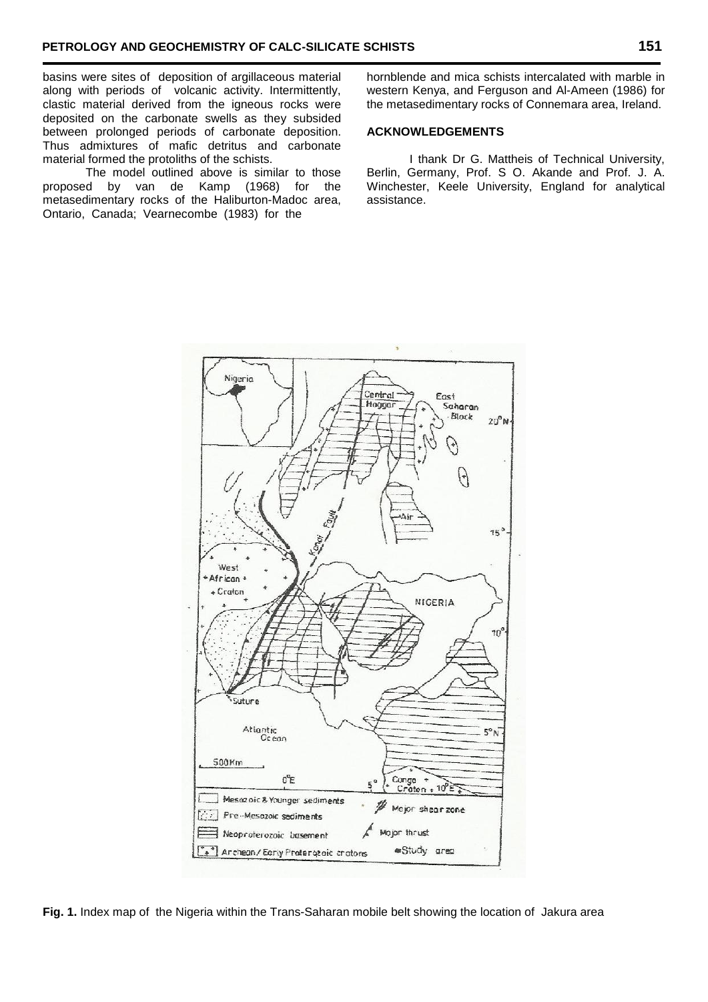basins were sites of deposition of argillaceous material along with periods of volcanic activity. Intermittently, clastic material derived from the igneous rocks were deposited on the carbonate swells as they subsided between prolonged periods of carbonate deposition. Thus admixtures of mafic detritus and carbonate material formed the protoliths of the schists.

The model outlined above is similar to those proposed by van de Kamp (1968) for the metasedimentary rocks of the Haliburton-Madoc area, Ontario, Canada; Vearnecombe (1983) for the

hornblende and mica schists intercalated with marble in western Kenya, and Ferguson and Al-Ameen (1986) for the metasedimentary rocks of Connemara area, Ireland.

### **ACKNOWLEDGEMENTS**

I thank Dr G. Mattheis of Technical University, Berlin, Germany, Prof. S O. Akande and Prof. J. A. Winchester, Keele University, England for analytical assistance.



**Fig. 1.** Index map of the Nigeria within the Trans-Saharan mobile belt showing the location of Jakura area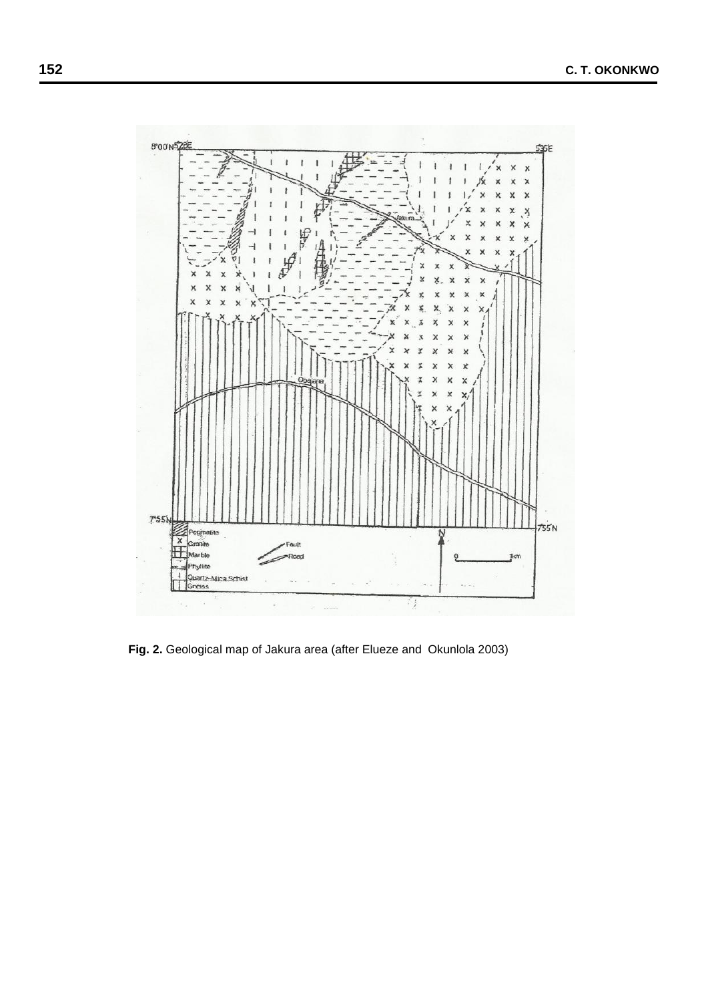

**Fig. 2.** Geological map of Jakura area (after Elueze and Okunlola 2003)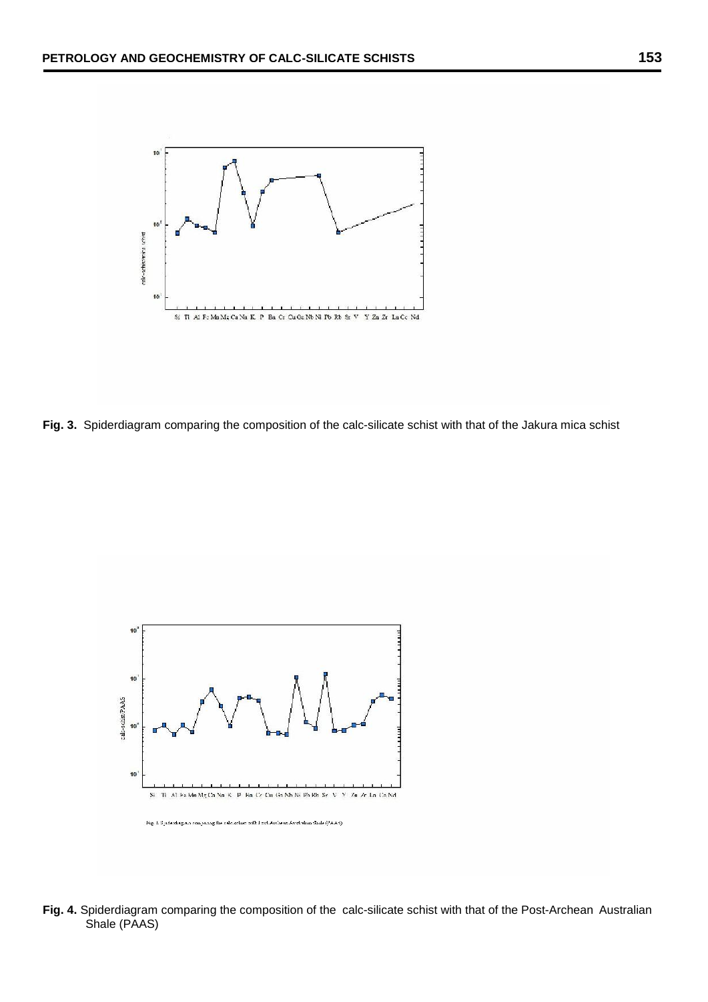

**Fig. 3.** Spiderdiagram comparing the composition of the calc-silicate schist with that of the Jakura mica schist



**Fig. 4.** Spiderdiagram comparing the composition of the calc-silicate schist with that of the Post-Archean Australian Shale (PAAS)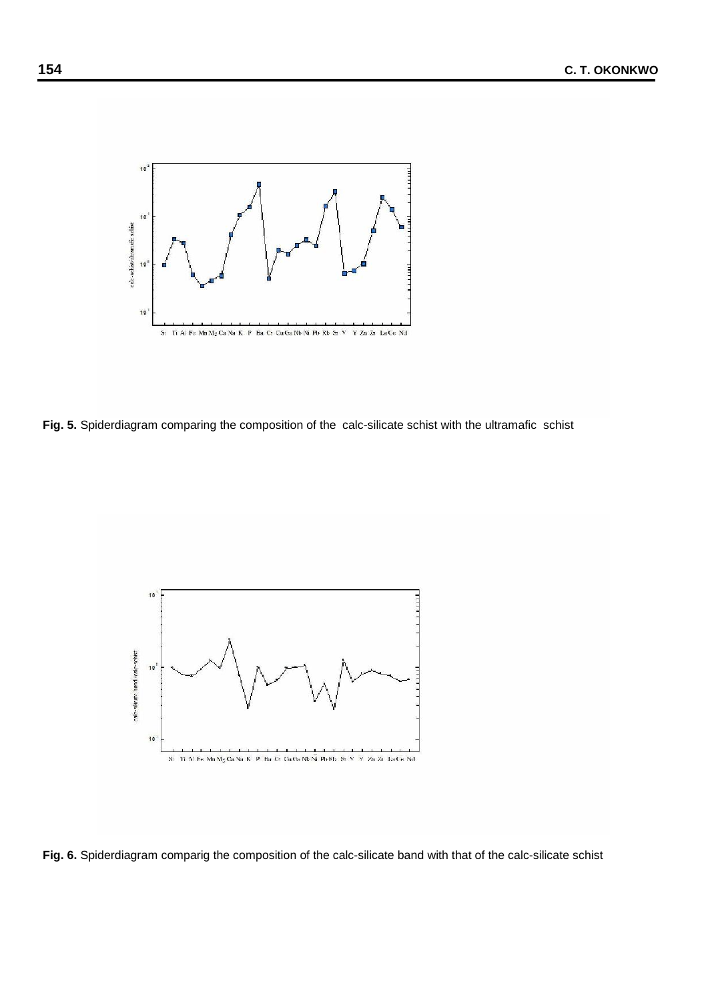

**Fig. 5.** Spiderdiagram comparing the composition of the calc-silicate schist with the ultramafic schist



**Fig. 6.** Spiderdiagram comparig the composition of the calc-silicate band with that of the calc-silicate schist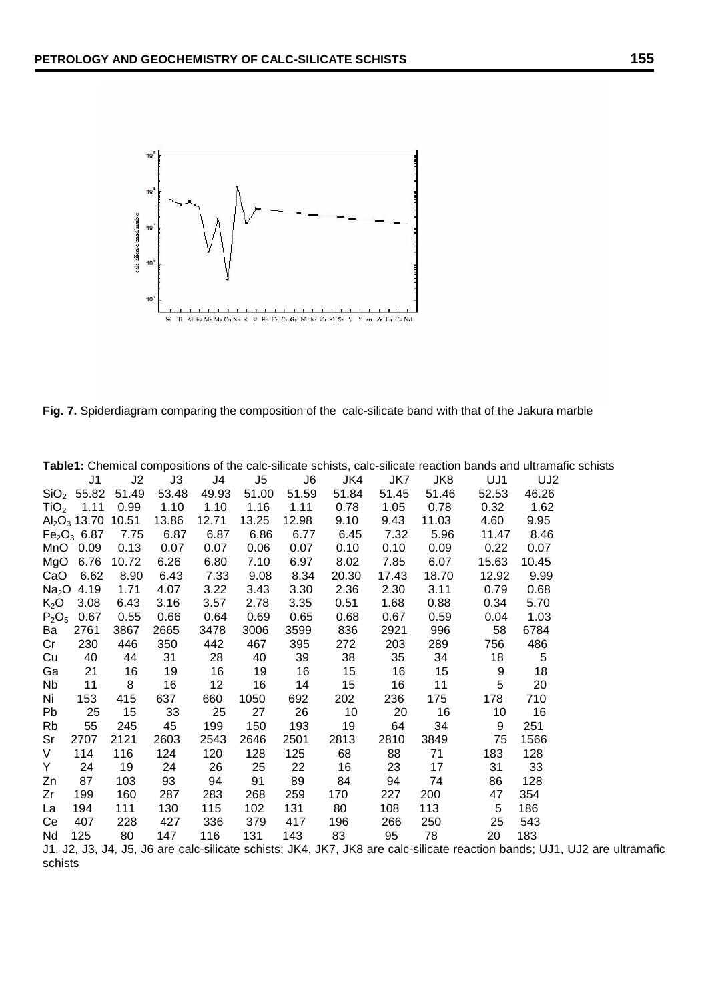

**Fig. 7.** Spiderdiagram comparing the composition of the calc-silicate band with that of the Jakura marble

| Table1: Chemical compositions of the calc-silicate schists, calc-silicate reaction bands and ultramafic schists |                                     |       |       |       |       |       |       |       |       |       |                 |  |
|-----------------------------------------------------------------------------------------------------------------|-------------------------------------|-------|-------|-------|-------|-------|-------|-------|-------|-------|-----------------|--|
|                                                                                                                 | J1                                  | J2    | J3    | J4    | J5    | J6    | JK4   | JK7   | JK8   | UJ1   | UJ <sub>2</sub> |  |
|                                                                                                                 | SiO <sub>2</sub> 55.82              | 51.49 | 53.48 | 49.93 | 51.00 | 51.59 | 51.84 | 51.45 | 51.46 | 52.53 | 46.26           |  |
|                                                                                                                 | $TiO2$ 1.11                         | 0.99  | 1.10  | 1.10  | 1.16  | 1.11  | 0.78  | 1.05  | 0.78  | 0.32  | 1.62            |  |
|                                                                                                                 | $Al_2O_3$ 13.70 10.51               |       | 13.86 | 12.71 | 13.25 | 12.98 | 9.10  | 9.43  | 11.03 | 4.60  | 9.95            |  |
|                                                                                                                 | Fe <sub>2</sub> O <sub>3</sub> 6.87 | 7.75  | 6.87  | 6.87  | 6.86  | 6.77  | 6.45  | 7.32  | 5.96  | 11.47 | 8.46            |  |
|                                                                                                                 | MnO 0.09                            | 0.13  | 0.07  | 0.07  | 0.06  | 0.07  | 0.10  | 0.10  | 0.09  | 0.22  | 0.07            |  |
| MgO                                                                                                             | 6.76                                | 10.72 | 6.26  | 6.80  | 7.10  | 6.97  | 8.02  | 7.85  | 6.07  | 15.63 | 10.45           |  |
| CaO                                                                                                             | 6.62                                | 8.90  | 6.43  | 7.33  | 9.08  | 8.34  | 20.30 | 17.43 | 18.70 | 12.92 | 9.99            |  |
|                                                                                                                 | $Na2O$ 4.19                         | 1.71  | 4.07  | 3.22  | 3.43  | 3.30  | 2.36  | 2.30  | 3.11  | 0.79  | 0.68            |  |
| K <sub>2</sub> O                                                                                                | 3.08                                | 6.43  | 3.16  | 3.57  | 2.78  | 3.35  | 0.51  | 1.68  | 0.88  | 0.34  | 5.70            |  |
| $P_2O_5$                                                                                                        | 0.67                                | 0.55  | 0.66  | 0.64  | 0.69  | 0.65  | 0.68  | 0.67  | 0.59  | 0.04  | 1.03            |  |
| Ba                                                                                                              | 2761                                | 3867  | 2665  | 3478  | 3006  | 3599  | 836   | 2921  | 996   | 58    | 6784            |  |
| Cr                                                                                                              | 230                                 | 446   | 350   | 442   | 467   | 395   | 272   | 203   | 289   | 756   | 486             |  |
| Cu                                                                                                              | 40                                  | 44    | 31    | 28    | 40    | 39    | 38    | 35    | 34    | 18    | $\overline{5}$  |  |
| Ga                                                                                                              | 21                                  | 16    | 19    | 16    | 19    | 16    | 15    | 16    | 15    | 9     | 18              |  |
| Nb                                                                                                              | 11                                  | 8     | 16    | 12    | 16    | 14    | 15    | 16    | 11    | 5     | 20              |  |
| Ni                                                                                                              | 153                                 | 415   | 637   | 660   | 1050  | 692   | 202   | 236   | 175   | 178   | 710             |  |
| Pb                                                                                                              | 25                                  | 15    | 33    | 25    | 27    | 26    | 10    | 20    | 16    | 10    | 16              |  |
| Rb                                                                                                              | 55                                  | 245   | 45    | 199   | 150   | 193   | 19    | 64    | 34    | 9     | 251             |  |
| Sr                                                                                                              | 2707                                | 2121  | 2603  | 2543  | 2646  | 2501  | 2813  | 2810  | 3849  | 75    | 1566            |  |
| V                                                                                                               | 114                                 | 116   | 124   | 120   | 128   | 125   | 68    | 88    | 71    | 183   | 128             |  |
| Y.                                                                                                              | 24                                  | 19    | 24    | 26    | 25    | 22    | 16    | 23    | 17    | 31    | 33              |  |
| Zn                                                                                                              | 87                                  | 103   | 93    | 94    | 91    | 89    | 84    | 94    | 74    | 86    | 128             |  |
| Zr                                                                                                              | 199                                 | 160   | 287   | 283   | 268   | 259   | 170   | 227   | 200   | 47    | 354             |  |
| La                                                                                                              | 194                                 | 111   | 130   | 115   | 102   | 131   | 80    | 108   | 113   | 5     | 186             |  |
| Ce                                                                                                              | 407                                 | 228   | 427   | 336   | 379   | 417   | 196   | 266   | 250   | 25    | 543             |  |
| Nd                                                                                                              | 125                                 | 80    | 147   | 116   | 131   | 143   | 83    | 95    | 78    | 20    | 183             |  |

J1, J2, J3, J4, J5, J6 are calc-silicate schists; JK4, JK7, JK8 are calc-silicate reaction bands; UJ1, UJ2 are ultramafic schists